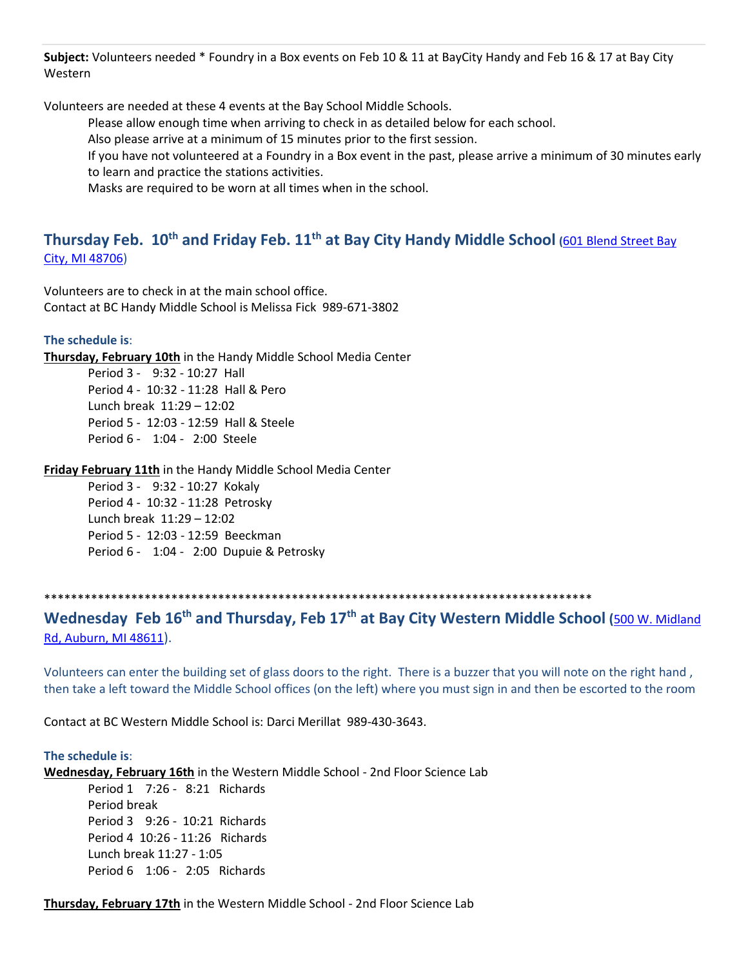**Subject:** Volunteers needed \* Foundry in a Box events on Feb 10 & 11 at BayCity Handy and Feb 16 & 17 at Bay City Western

Volunteers are needed at these 4 events at the Bay School Middle Schools.

Please allow enough time when arriving to check in as detailed below for each school.

Also please arrive at a minimum of 15 minutes prior to the first session.

If you have not volunteered at a Foundry in a Box event in the past, please arrive a minimum of 30 minutes early to learn and practice the stations activities.

Masks are required to be worn at all times when in the school.

## **Thursday Feb. 10th and Friday Feb. 11th at Bay City Handy Middle School (**[601 Blend Street Bay](https://maps.google.com/?q=601+Blend+Street+Bay+City,+MI+48706&entry=gmail&source=g)  [City, MI 48706\)](https://maps.google.com/?q=601+Blend+Street+Bay+City,+MI+48706&entry=gmail&source=g)

Volunteers are to check in at the main school office. Contact at BC Handy Middle School is Melissa Fick 989-671-3802

### **The schedule is**:

**Thursday, February 10th** in the Handy Middle School Media Center

Period 3 - 9:32 - 10:27 Hall Period 4 - 10:32 - 11:28 Hall & Pero Lunch break 11:29 – 12:02 Period 5 - 12:03 - 12:59 Hall & Steele Period 6 - 1:04 - 2:00 Steele

### **Friday February 11th** in the Handy Middle School Media Center

Period 3 - 9:32 - 10:27 Kokaly Period 4 - 10:32 - 11:28 Petrosky Lunch break 11:29 – 12:02 Period 5 - 12:03 - 12:59 Beeckman Period 6 - 1:04 - 2:00 Dupuie & Petrosky

### \*\*\*\*\*\*\*\*\*\*\*\*\*\*\*\*\*\*\*\*\*\*\*\*\*\*\*\*\*\*\*\*\*\*\*\*\*\*\*\*\*\*\*\*\*\*\*\*\*\*\*\*\*\*\*\*\*\*\*\*\*\*\*\*\*\*\*\*\*\*\*\*\*\*\*\*\*\*\*\*\*\*

### **Wednesday Feb 16th and Thursday, Feb 17th at Bay City Western Middle School (**[500 W. Midland](https://maps.google.com/?q=500+W.+Midland+Rd,+Auburn,+MI+48611&entry=gmail&source=g)  [Rd, Auburn, MI 48611](https://maps.google.com/?q=500+W.+Midland+Rd,+Auburn,+MI+48611&entry=gmail&source=g)).

Volunteers can enter the building set of glass doors to the right. There is a buzzer that you will note on the right hand , then take a left toward the Middle School offices (on the left) where you must sign in and then be escorted to the room

Contact at BC Western Middle School is: Darci Merillat 989-430-3643.

#### **The schedule is**:

**Wednesday, February 16th** in the Western Middle School - 2nd Floor Science Lab

Period 1 7:26 - 8:21 Richards Period break Period 3 9:26 - 10:21 Richards Period 4 10:26 - 11:26 Richards Lunch break 11:27 - 1:05 Period 6 1:06 - 2:05 Richards

**Thursday, February 17th** in the Western Middle School - 2nd Floor Science Lab